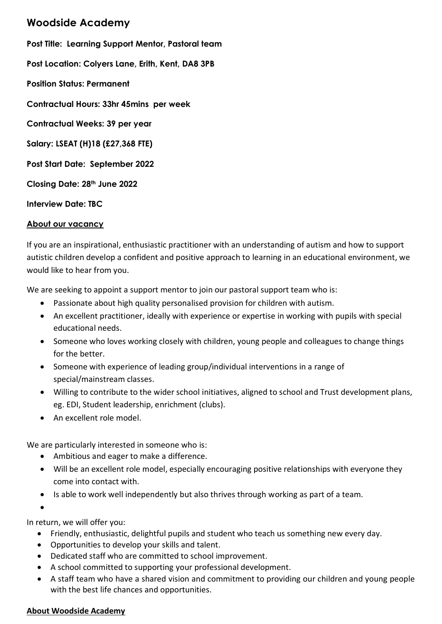## **Woodside Academy**

**Post Title: Learning Support Mentor, Pastoral team Post Location: Colyers Lane, Erith, Kent, DA8 3PB Position Status: Permanent Contractual Hours: 33hr 45mins per week Contractual Weeks: 39 per year Salary: LSEAT (H)18 (£27,368 FTE) Post Start Date: September 2022 Closing Date: 28th June 2022 Interview Date: TBC**

## **About our vacancy**

If you are an inspirational, enthusiastic practitioner with an understanding of autism and how to support autistic children develop a confident and positive approach to learning in an educational environment, we would like to hear from you.

We are seeking to appoint a support mentor to join our pastoral support team who is:

- Passionate about high quality personalised provision for children with autism.
- An excellent practitioner, ideally with experience or expertise in working with pupils with special educational needs.
- Someone who loves working closely with children, young people and colleagues to change things for the better.
- Someone with experience of leading group/individual interventions in a range of special/mainstream classes.
- Willing to contribute to the wider school initiatives, aligned to school and Trust development plans, eg. EDI, Student leadership, enrichment (clubs).
- An excellent role model.

We are particularly interested in someone who is:

- Ambitious and eager to make a difference.
- Will be an excellent role model, especially encouraging positive relationships with everyone they come into contact with.
- Is able to work well independently but also thrives through working as part of a team.

 $\bullet$ 

In return, we will offer you:

- Friendly, enthusiastic, delightful pupils and student who teach us something new every day.
- Opportunities to develop your skills and talent.
- Dedicated staff who are committed to school improvement.
- A school committed to supporting your professional development.
- A staff team who have a shared vision and commitment to providing our children and young people with the best life chances and opportunities.

## **About Woodside Academy**